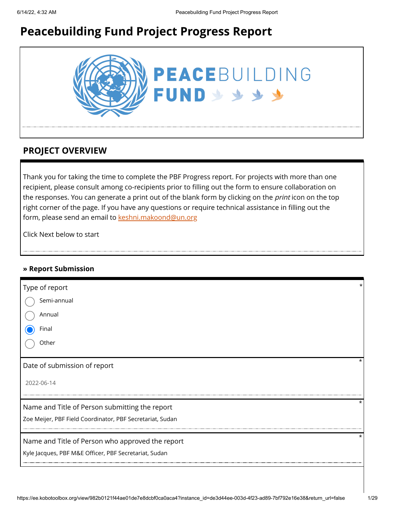# **Peacebuilding Fund Project Progress Report**



# **PROJECT OVERVIEW**

Thank you for taking the time to complete the PBF Progress report. For projects with more than one recipient, please consult among co-recipients prior to filling out the form to ensure collaboration on the responses. You can generate a print out of the blank form by clicking on the *print* icon on the top right corner of the page. If you have any questions or require technical assistance in filling out the form, please send an email to [keshni.makoond@un.org](https://ee.kobotoolbox.org/view/keshni.makoond@un.org)

Click Next below to start

#### **» Report Submission**

| Type of report<br>Semi-annual<br>Annual                                                                     | *        |
|-------------------------------------------------------------------------------------------------------------|----------|
| Final<br>Other                                                                                              |          |
| Date of submission of report<br>2022-06-14                                                                  | $^\star$ |
| Name and Title of Person submitting the report<br>Zoe Meijer, PBF Field Coordinator, PBF Secretariat, Sudan | $\star$  |
| Name and Title of Person who approved the report<br>Kyle Jacques, PBF M&E Officer, PBF Secretariat, Sudan   | $\star$  |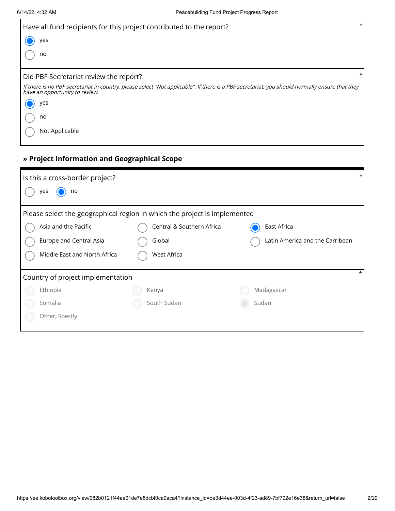| Have all fund recipients for this project contributed to the report?                                                                                                             | $\star$  |
|----------------------------------------------------------------------------------------------------------------------------------------------------------------------------------|----------|
| yes                                                                                                                                                                              |          |
| no                                                                                                                                                                               |          |
| Did PBF Secretariat review the report?                                                                                                                                           | $^\star$ |
| If there is no PBF secretariat in country, please select "Not applicable". If there is a PBF secretariat, you should normally ensure that they<br>have an opportunity to review. |          |
| yes                                                                                                                                                                              |          |
| no                                                                                                                                                                               |          |
| Not Applicable                                                                                                                                                                   |          |

# **» Project Information and Geographical Scope**

| $\star$<br>Is this a cross-border project?                                |                           |             |  |  |  |
|---------------------------------------------------------------------------|---------------------------|-------------|--|--|--|
| no<br>yes                                                                 |                           |             |  |  |  |
| Please select the geographical region in which the project is implemented |                           |             |  |  |  |
| Asia and the Pacific                                                      | Central & Southern Africa | East Africa |  |  |  |
| Latin America and the Carribean<br>Europe and Central Asia<br>Global      |                           |             |  |  |  |
| Middle East and North Africa                                              | West Africa               |             |  |  |  |
| Country of project implementation                                         |                           |             |  |  |  |
| Ethiopia                                                                  | Kenya                     | Madagascar  |  |  |  |
| Somalia                                                                   | South Sudan               | Sudan       |  |  |  |
| Other, Specify                                                            |                           |             |  |  |  |
|                                                                           |                           |             |  |  |  |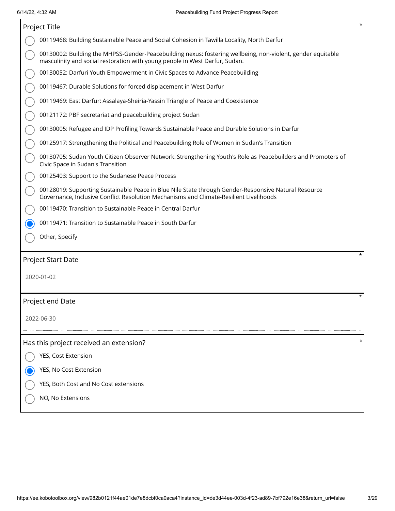| *<br>Project Title                                                                                                                                                                             |   |  |  |  |  |  |
|------------------------------------------------------------------------------------------------------------------------------------------------------------------------------------------------|---|--|--|--|--|--|
| 00119468: Building Sustainable Peace and Social Cohesion in Tawilla Locality, North Darfur                                                                                                     |   |  |  |  |  |  |
| 00130002: Building the MHPSS-Gender-Peacebuilding nexus: fostering wellbeing, non-violent, gender equitable<br>masculinity and social restoration with young people in West Darfur, Sudan.     |   |  |  |  |  |  |
| 00130052: Darfuri Youth Empowerment in Civic Spaces to Advance Peacebuilding                                                                                                                   |   |  |  |  |  |  |
| 00119467: Durable Solutions for forced displacement in West Darfur                                                                                                                             |   |  |  |  |  |  |
| 00119469: East Darfur: Assalaya-Sheiria-Yassin Triangle of Peace and Coexistence                                                                                                               |   |  |  |  |  |  |
| 00121172: PBF secretariat and peacebuilding project Sudan                                                                                                                                      |   |  |  |  |  |  |
| 00130005: Refugee and IDP Profiling Towards Sustainable Peace and Durable Solutions in Darfur                                                                                                  |   |  |  |  |  |  |
| 00125917: Strengthening the Political and Peacebuilding Role of Women in Sudan's Transition                                                                                                    |   |  |  |  |  |  |
| 00130705: Sudan Youth Citizen Observer Network: Strengthening Youth's Role as Peacebuilders and Promoters of<br>Civic Space in Sudan's Transition                                              |   |  |  |  |  |  |
| 00125403: Support to the Sudanese Peace Process                                                                                                                                                |   |  |  |  |  |  |
| 00128019: Supporting Sustainable Peace in Blue Nile State through Gender-Responsive Natural Resource<br>Governance, Inclusive Conflict Resolution Mechanisms and Climate-Resilient Livelihoods |   |  |  |  |  |  |
| 00119470: Transition to Sustainable Peace in Central Darfur                                                                                                                                    |   |  |  |  |  |  |
| 00119471: Transition to Sustainable Peace in South Darfur                                                                                                                                      |   |  |  |  |  |  |
| Other, Specify                                                                                                                                                                                 |   |  |  |  |  |  |
| Project Start Date                                                                                                                                                                             | * |  |  |  |  |  |
| 2020-01-02                                                                                                                                                                                     |   |  |  |  |  |  |
|                                                                                                                                                                                                |   |  |  |  |  |  |
| Project end Date                                                                                                                                                                               | * |  |  |  |  |  |
| 2022-06-30                                                                                                                                                                                     |   |  |  |  |  |  |
|                                                                                                                                                                                                |   |  |  |  |  |  |
| Has this project received an extension?                                                                                                                                                        |   |  |  |  |  |  |
| YES, Cost Extension                                                                                                                                                                            |   |  |  |  |  |  |
| YES, No Cost Extension                                                                                                                                                                         |   |  |  |  |  |  |
| YES, Both Cost and No Cost extensions                                                                                                                                                          |   |  |  |  |  |  |
| NO, No Extensions                                                                                                                                                                              |   |  |  |  |  |  |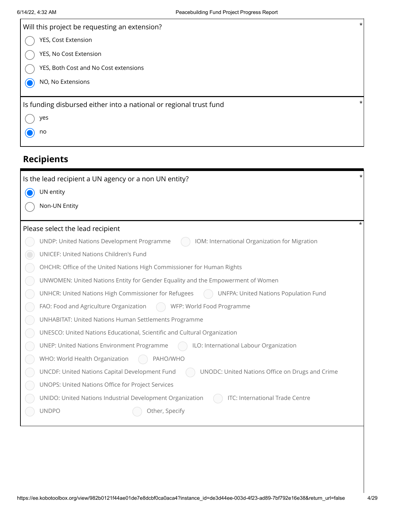| Will this project be requesting an extension?                             | $\star$ |
|---------------------------------------------------------------------------|---------|
| YES, Cost Extension                                                       |         |
| YES, No Cost Extension                                                    |         |
| YES, Both Cost and No Cost extensions                                     |         |
| NO, No Extensions                                                         |         |
|                                                                           |         |
| Is funding disbursed either into a national or regional trust fund<br>yes | $\star$ |
| no                                                                        |         |

| Is the lead recipient a UN agency or a non UN entity?                                             |  |
|---------------------------------------------------------------------------------------------------|--|
| UN entity                                                                                         |  |
| Non-UN Entity                                                                                     |  |
| Please select the lead recipient                                                                  |  |
| UNDP: United Nations Development Programme<br>IOM: International Organization for Migration       |  |
| <b>UNICEF: United Nations Children's Fund</b>                                                     |  |
| OHCHR: Office of the United Nations High Commissioner for Human Rights                            |  |
| UNWOMEN: United Nations Entity for Gender Equality and the Empowerment of Women                   |  |
| UNHCR: United Nations High Commissioner for Refugees<br>UNFPA: United Nations Population Fund     |  |
| FAO: Food and Agriculture Organization<br>WFP: World Food Programme                               |  |
| <b>UNHABITAT: United Nations Human Settlements Programme</b>                                      |  |
| UNESCO: United Nations Educational, Scientific and Cultural Organization                          |  |
| <b>UNEP: United Nations Environment Programme</b><br>ILO: International Labour Organization       |  |
| WHO: World Health Organization<br>PAHO/WHO                                                        |  |
| UNODC: United Nations Office on Drugs and Crime<br>UNCDF: United Nations Capital Development Fund |  |
| UNOPS: United Nations Office for Project Services                                                 |  |
| UNIDO: United Nations Industrial Development Organization<br>ITC: International Trade Centre      |  |
| <b>UNDPO</b><br>Other, Specify                                                                    |  |
|                                                                                                   |  |
|                                                                                                   |  |
|                                                                                                   |  |
|                                                                                                   |  |
|                                                                                                   |  |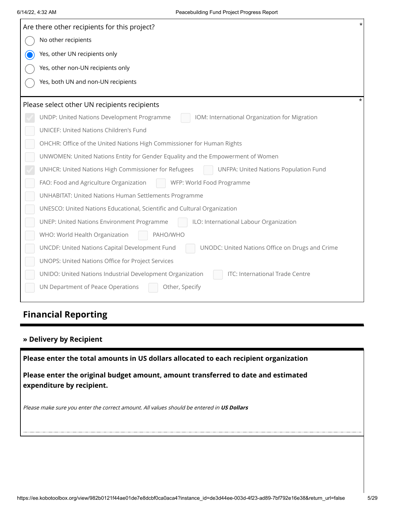| Are there other recipients for this project?                                                      |  |
|---------------------------------------------------------------------------------------------------|--|
| No other recipients                                                                               |  |
| Yes, other UN recipients only<br>$\mathbf O$                                                      |  |
| Yes, other non-UN recipients only                                                                 |  |
| Yes, both UN and non-UN recipients                                                                |  |
|                                                                                                   |  |
| Please select other UN recipients recipients                                                      |  |
| IOM: International Organization for Migration<br>UNDP: United Nations Development Programme       |  |
| UNICEF: United Nations Children's Fund                                                            |  |
| OHCHR: Office of the United Nations High Commissioner for Human Rights                            |  |
| UNWOMEN: United Nations Entity for Gender Equality and the Empowerment of Women                   |  |
| UNHCR: United Nations High Commissioner for Refugees<br>UNFPA: United Nations Population Fund     |  |
| FAO: Food and Agriculture Organization<br>WFP: World Food Programme                               |  |
| UNHABITAT: United Nations Human Settlements Programme                                             |  |
| UNESCO: United Nations Educational, Scientific and Cultural Organization                          |  |
| <b>UNEP: United Nations Environment Programme</b><br>ILO: International Labour Organization       |  |
| WHO: World Health Organization<br>PAHO/WHO                                                        |  |
| UNCDF: United Nations Capital Development Fund<br>UNODC: United Nations Office on Drugs and Crime |  |
| UNOPS: United Nations Office for Project Services                                                 |  |
| UNIDO: United Nations Industrial Development Organization<br>ITC: International Trade Centre      |  |
| UN Department of Peace Operations<br>Other, Specify                                               |  |
|                                                                                                   |  |
| <b>Financial Reporting</b>                                                                        |  |
|                                                                                                   |  |
| » Delivery by Recipient                                                                           |  |
| Please enter the total amounts in US dollars allocated to each recipient organization             |  |
| Please enter the original budget amount, amount transferred to date and estimated                 |  |
| expenditure by recipient.                                                                         |  |
|                                                                                                   |  |
| Please make sure you enter the correct amount. All values should be entered in US Dollars         |  |
|                                                                                                   |  |
|                                                                                                   |  |
|                                                                                                   |  |
|                                                                                                   |  |
|                                                                                                   |  |

# **Financial Reporting**

### **» Delivery by Recipient**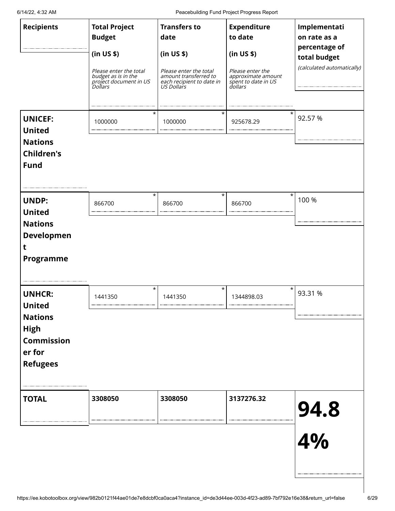6/14/22, 4:32 AM Peacebuilding Fund Project Progress Report

| <b>Recipients</b><br><b>UNICEF:</b>                                                                        | <b>Total Project</b><br><b>Budget</b><br>(in US \$)<br>Please enter the total<br>budget as is in the<br>project document in US<br>Dollars<br>$\star$<br>1000000 | <b>Transfers to</b><br>date<br>(in US \$)<br>Please enter the total<br>amount transferred to<br>each recipient to date in<br>US Dollars<br>$^\star$<br>1000000 | <b>Expenditure</b><br>to date<br>(in US \$)<br>Please enter the<br>approximate amount<br>spendance since<br>spent to date in US<br>dollars<br>925678.29 | Implementati<br>on rate as a<br>percentage of<br>total budget<br>(calculated automatically)<br>92.57 % |
|------------------------------------------------------------------------------------------------------------|-----------------------------------------------------------------------------------------------------------------------------------------------------------------|----------------------------------------------------------------------------------------------------------------------------------------------------------------|---------------------------------------------------------------------------------------------------------------------------------------------------------|--------------------------------------------------------------------------------------------------------|
| <b>United</b><br><b>Nations</b><br><b>Children's</b><br><b>Fund</b>                                        |                                                                                                                                                                 |                                                                                                                                                                |                                                                                                                                                         |                                                                                                        |
| <b>UNDP:</b><br><b>United</b><br><b>Nations</b><br>Developmen<br>t<br><b>Programme</b>                     | $^\star$<br>866700                                                                                                                                              | $^\star$<br>866700                                                                                                                                             | $^\star$<br>866700                                                                                                                                      | 100 %                                                                                                  |
| <b>UNHCR:</b><br><b>United</b><br><b>Nations</b><br><b>High</b><br>Commission<br>er for<br><b>Refugees</b> | $^\star$<br>1441350                                                                                                                                             | $^\star$<br>1441350                                                                                                                                            | $^\star$<br>1344898.03                                                                                                                                  | 93.31 %                                                                                                |
| <b>TOTAL</b>                                                                                               | 3308050                                                                                                                                                         | 3308050                                                                                                                                                        | 3137276.32                                                                                                                                              | 94.8<br>4%                                                                                             |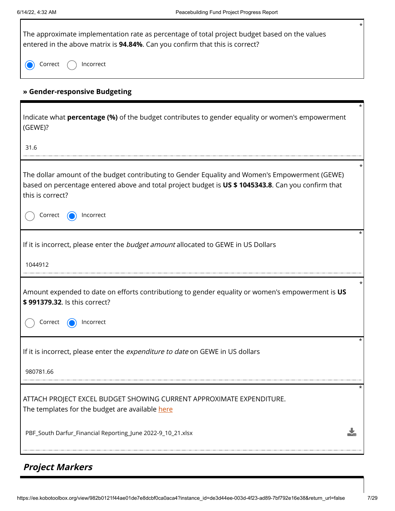| $^\star$<br>The approximate implementation rate as percentage of total project budget based on the values<br>entered in the above matrix is 94.84%. Can you confirm that this is correct?                                 |
|---------------------------------------------------------------------------------------------------------------------------------------------------------------------------------------------------------------------------|
| Incorrect<br>Correct                                                                                                                                                                                                      |
| » Gender-responsive Budgeting                                                                                                                                                                                             |
| Indicate what <b>percentage (%)</b> of the budget contributes to gender equality or women's empowerment<br>(GEWE)?                                                                                                        |
| 31.6                                                                                                                                                                                                                      |
| The dollar amount of the budget contributing to Gender Equality and Women's Empowerment (GEWE)<br>based on percentage entered above and total project budget is US \$ 1045343.8. Can you confirm that<br>this is correct? |
| Correct<br>Incorrect                                                                                                                                                                                                      |
| If it is incorrect, please enter the budget amount allocated to GEWE in US Dollars                                                                                                                                        |
| 1044912                                                                                                                                                                                                                   |
| Amount expended to date on efforts contributiong to gender equality or women's empowerment is US<br>\$991379.32. Is this correct?                                                                                         |
| Correct<br>Incorrect                                                                                                                                                                                                      |
| If it is incorrect, please enter the expenditure to date on GEWE in US dollars                                                                                                                                            |
| 980781.66                                                                                                                                                                                                                 |
| ATTACH PROJECT EXCEL BUDGET SHOWING CURRENT APPROXIMATE EXPENDITURE.<br>The templates for the budget are available here                                                                                                   |
| PBF_South Darfur_Financial Reporting_June 2022-9_10_21.xlsx                                                                                                                                                               |

# **Project Markers**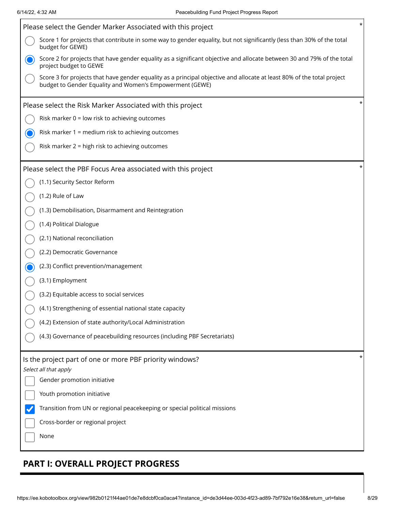| Please select the Gender Marker Associated with this project                                                                                                                       | $^\star$ |
|------------------------------------------------------------------------------------------------------------------------------------------------------------------------------------|----------|
| Score 1 for projects that contribute in some way to gender equality, but not significantly (less than 30% of the total<br>budget for GEWE)                                         |          |
| Score 2 for projects that have gender equality as a significant objective and allocate between 30 and 79% of the total<br>project budget to GEWE                                   |          |
| Score 3 for projects that have gender equality as a principal objective and allocate at least 80% of the total project<br>budget to Gender Equality and Women's Empowerment (GEWE) |          |
| Please select the Risk Marker Associated with this project                                                                                                                         | *        |
| Risk marker 0 = low risk to achieving outcomes                                                                                                                                     |          |
| Risk marker 1 = medium risk to achieving outcomes                                                                                                                                  |          |
| Risk marker 2 = high risk to achieving outcomes                                                                                                                                    |          |
| Please select the PBF Focus Area associated with this project                                                                                                                      | $^\star$ |
| (1.1) Security Sector Reform                                                                                                                                                       |          |
| (1.2) Rule of Law                                                                                                                                                                  |          |
| (1.3) Demobilisation, Disarmament and Reintegration                                                                                                                                |          |
| (1.4) Political Dialogue                                                                                                                                                           |          |
| (2.1) National reconciliation                                                                                                                                                      |          |
| (2.2) Democratic Governance                                                                                                                                                        |          |
| (2.3) Conflict prevention/management                                                                                                                                               |          |
| (3.1) Employment                                                                                                                                                                   |          |
| (3.2) Equitable access to social services                                                                                                                                          |          |
| (4.1) Strengthening of essential national state capacity                                                                                                                           |          |
| (4.2) Extension of state authority/Local Administration                                                                                                                            |          |
| (4.3) Governance of peacebuilding resources (including PBF Secretariats)                                                                                                           |          |
| Is the project part of one or more PBF priority windows?<br>Select all that apply                                                                                                  | *        |
| Gender promotion initiative                                                                                                                                                        |          |
| Youth promotion initiative                                                                                                                                                         |          |
| Transition from UN or regional peacekeeping or special political missions                                                                                                          |          |
| Cross-border or regional project                                                                                                                                                   |          |
| None                                                                                                                                                                               |          |
|                                                                                                                                                                                    |          |

# **PART I: OVERALL PROJECT PROGRESS**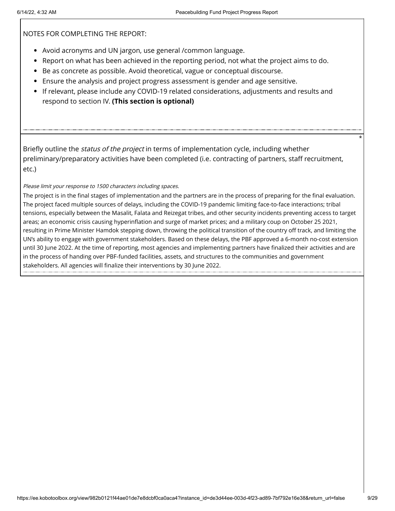NOTES FOR COMPLETING THE REPORT:

- Avoid acronyms and UN jargon, use general /common language.
- Report on what has been achieved in the reporting period, not what the project aims to do.
- Be as concrete as possible. Avoid theoretical, vague or conceptual discourse.
- Ensure the analysis and project progress assessment is gender and age sensitive.
- If relevant, please include any COVID-19 related considerations, adjustments and results and respond to section IV. **(This section is optional)**

Briefly outline the *status of the project* in terms of implementation cycle, including whether preliminary/preparatory activities have been completed (i.e. contracting of partners, staff recruitment, etc.)

Please limit your response to 1500 characters including spaces.

The project is in the final stages of implementation and the partners are in the process of preparing for the final evaluation. The project faced multiple sources of delays, including the COVID-19 pandemic limiting face-to-face interactions; tribal tensions, especially between the Masalit, Falata and Reizegat tribes, and other security incidents preventing access to target areas; an economic crisis causing hyperinflation and surge of market prices; and a military coup on October 25 2021, resulting in Prime Minister Hamdok stepping down, throwing the political transition of the country off track, and limiting the UN's ability to engage with government stakeholders. Based on these delays, the PBF approved a 6-month no-cost extension until 30 June 2022. At the time of reporting, most agencies and implementing partners have finalized their activities and are in the process of handing over PBF-funded facilities, assets, and structures to the communities and government stakeholders. All agencies will finalize their interventions by 30 June 2022.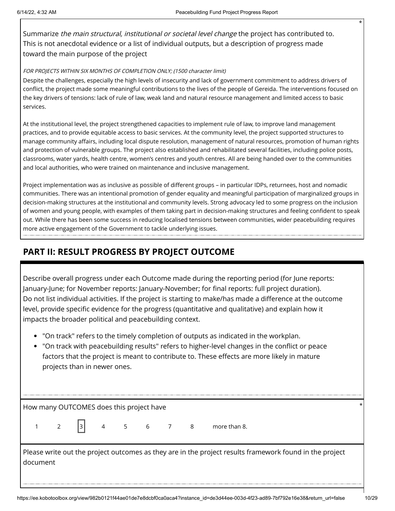Summarize the main structural, institutional or societal level change the project has contributed to. This is not anecdotal evidence or a list of individual outputs, but a description of progress made toward the main purpose of the project

#### FOR PROJECTS WITHIN SIX MONTHS OF COMPLETION ONLY; (1500 character limit)

Despite the challenges, especially the high levels of insecurity and lack of government commitment to address drivers of conflict, the project made some meaningful contributions to the lives of the people of Gereida. The interventions focused on the key drivers of tensions: lack of rule of law, weak land and natural resource management and limited access to basic services.

At the institutional level, the project strengthened capacities to implement rule of law, to improve land management practices, and to provide equitable access to basic services. At the community level, the project supported structures to manage community affairs, including local dispute resolution, management of natural resources, promotion of human rights and protection of vulnerable groups. The project also established and rehabilitated several facilities, including police posts, classrooms, water yards, health centre, women's centres and youth centres. All are being handed over to the communities and local authorities, who were trained on maintenance and inclusive management.

Project implementation was as inclusive as possible of different groups – in particular IDPs, returnees, host and nomadic communities. There was an intentional promotion of gender equality and meaningful participation of marginalized groups in decision-making structures at the institutional and community levels. Strong advocacy led to some progress on the inclusion of women and young people, with examples of them taking part in decision-making structures and feeling confident to speak out. While there has been some success in reducing localised tensions between communities, wider peacebuilding requires more active engagement of the Government to tackle underlying issues.

# **PART II: RESULT PROGRESS BY PROJECT OUTCOME**

Describe overall progress under each Outcome made during the reporting period (for June reports: January-June; for November reports: January-November; for final reports: full project duration). Do not list individual activities. If the project is starting to make/has made a difference at the outcome level, provide specific evidence for the progress (quantitative and qualitative) and explain how it impacts the broader political and peacebuilding context.

- "On track" refers to the timely completion of outputs as indicated in the workplan.
- "On track with peacebuilding results" refers to higher-level changes in the conflict or peace factors that the project is meant to contribute to. These effects are more likely in mature projects than in newer ones.

How many OUTCOMES does this project have \*

 $1 \t2 \t3 \t4 \t5 \t6 \t7 \t8 \t more than 8.$ 

Please write out the project outcomes as they are in the project results framework found in the project document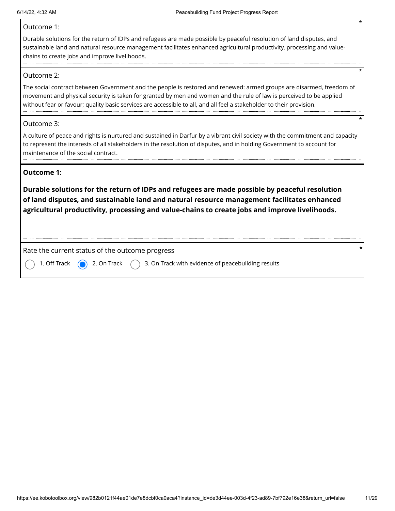#### Outcome 1:

Durable solutions for the return of IDPs and refugees are made possible by peaceful resolution of land disputes, and sustainable land and natural resource management facilitates enhanced agricultural productivity, processing and valuechains to create jobs and improve livelihoods.

#### Outcome 2:

The social contract between Government and the people is restored and renewed: armed groups are disarmed, freedom of movement and physical security is taken for granted by men and women and the rule of law is perceived to be applied without fear or favour; quality basic services are accessible to all, and all feel a stakeholder to their provision.

#### Outcome 3:

A culture of peace and rights is nurtured and sustained in Darfur by a vibrant civil society with the commitment and capacity to represent the interests of all stakeholders in the resolution of disputes, and in holding Government to account for maintenance of the social contract.

#### **Outcome 1:**

**Durable solutions for the return of IDPs and refugees are made possible by peaceful resolution of land disputes, and sustainable land and natural resource management facilitates enhanced agricultural productivity, processing and value-chains to create jobs and improve livelihoods.**

Rate the current status of the outcome progress \*

1. Off Track  $\bigcirc$  2. On Track  $\bigcirc$  3. On Track with evidence of peacebuilding results

\*

\*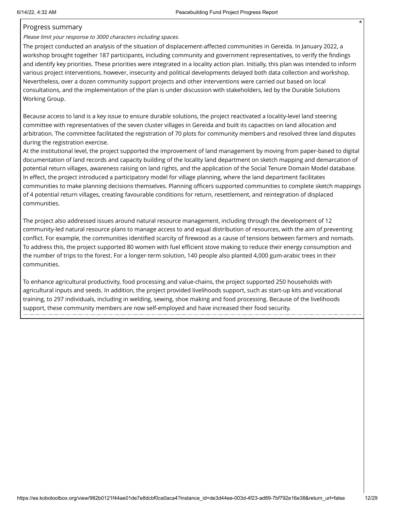#### Progress summary

Please limit your response to 3000 characters including spaces.

The project conducted an analysis of the situation of displacement-affected communities in Gereida. In January 2022, a workshop brought together 187 participants, including community and government representatives, to verify the findings and identify key priorities. These priorities were integrated in a locality action plan. Initially, this plan was intended to inform various project interventions, however, insecurity and political developments delayed both data collection and workshop. Nevertheless, over a dozen community support projects and other interventions were carried out based on local consultations, and the implementation of the plan is under discussion with stakeholders, led by the Durable Solutions Working Group.

Because access to land is a key issue to ensure durable solutions, the project reactivated a locality-level land steering committee with representatives of the seven cluster villages in Gereida and built its capacities on land allocation and arbitration. The committee facilitated the registration of 70 plots for community members and resolved three land disputes during the registration exercise.

At the institutional level, the project supported the improvement of land management by moving from paper-based to digital documentation of land records and capacity building of the locality land department on sketch mapping and demarcation of potential return villages, awareness raising on land rights, and the application of the Social Tenure Domain Model database. In effect, the project introduced a participatory model for village planning, where the land department facilitates communities to make planning decisions themselves. Planning officers supported communities to complete sketch mappings of 4 potential return villages, creating favourable conditions for return, resettlement, and reintegration of displaced communities.

The project also addressed issues around natural resource management, including through the development of 12 community-led natural resource plans to manage access to and equal distribution of resources, with the aim of preventing conflict. For example, the communities identified scarcity of firewood as a cause of tensions between farmers and nomads. To address this, the project supported 80 women with fuel efficient stove making to reduce their energy consumption and the number of trips to the forest. For a longer-term solution, 140 people also planted 4,000 gum-arabic trees in their communities.

To enhance agricultural productivity, food processing and value-chains, the project supported 250 households with agricultural inputs and seeds. In addition, the project provided livelihoods support, such as start-up kits and vocational training, to 297 individuals, including in welding, sewing, shoe making and food processing. Because of the livelihoods support, these community members are now self-employed and have increased their food security.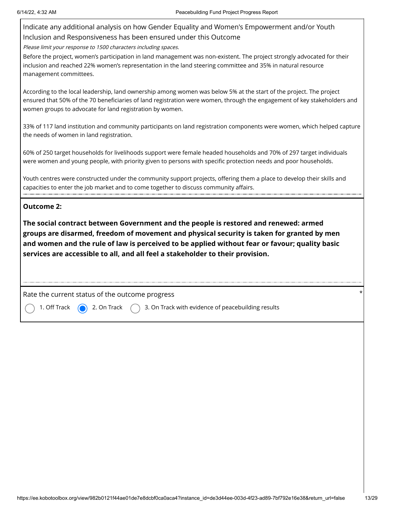Indicate any additional analysis on how Gender Equality and Women's Empowerment and/or Youth Inclusion and Responsiveness has been ensured under this Outcome

Please limit your response to 1500 characters including spaces.

Before the project, women's participation in land management was non-existent. The project strongly advocated for their inclusion and reached 22% women's representation in the land steering committee and 35% in natural resource management committees.

According to the local leadership, land ownership among women was below 5% at the start of the project. The project ensured that 50% of the 70 beneficiaries of land registration were women, through the engagement of key stakeholders and women groups to advocate for land registration by women.

33% of 117 land institution and community participants on land registration components were women, which helped capture the needs of women in land registration.

60% of 250 target households for livelihoods support were female headed households and 70% of 297 target individuals were women and young people, with priority given to persons with specific protection needs and poor households.

Youth centres were constructed under the community support projects, offering them a place to develop their skills and capacities to enter the job market and to come together to discuss community affairs.

#### **Outcome 2:**

**The social contract between Government and the people is restored and renewed: armed groups are disarmed, freedom of movement and physical security is taken for granted by men and women and the rule of law is perceived to be applied without fear or favour; quality basic services are accessible to all, and all feel a stakeholder to their provision.**

Rate the current status of the outcome progress

1. Off Track  $\bigcirc$  2. On Track  $\bigcirc$  3. On Track with evidence of peacebuilding results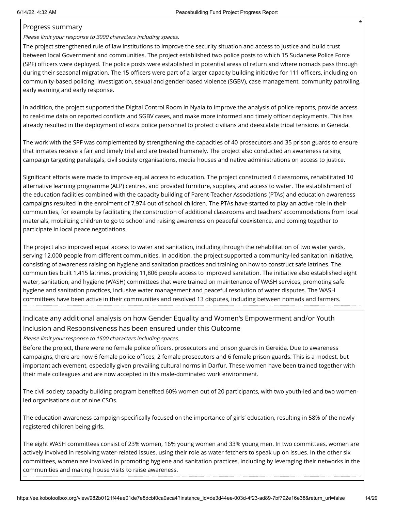#### Progress summary

Please limit your response to 3000 characters including spaces.

The project strengthened rule of law institutions to improve the security situation and access to justice and build trust between local Government and communities. The project established two police posts to which 15 Sudanese Police Force (SPF) officers were deployed. The police posts were established in potential areas of return and where nomads pass through during their seasonal migration. The 15 officers were part of a larger capacity building initiative for 111 officers, including on community-based policing, investigation, sexual and gender-based violence (SGBV), case management, community patrolling, early warning and early response.

In addition, the project supported the Digital Control Room in Nyala to improve the analysis of police reports, provide access to real-time data on reported conflicts and SGBV cases, and make more informed and timely officer deployments. This has already resulted in the deployment of extra police personnel to protect civilians and deescalate tribal tensions in Gereida.

The work with the SPF was complemented by strengthening the capacities of 40 prosecutors and 35 prison guards to ensure that inmates receive a fair and timely trial and are treated humanely. The project also conducted an awareness raising campaign targeting paralegals, civil society organisations, media houses and native administrations on access to justice.

Significant efforts were made to improve equal access to education. The project constructed 4 classrooms, rehabilitated 10 alternative learning programme (ALP) centres, and provided furniture, supplies, and access to water. The establishment of the education facilities combined with the capacity building of Parent-Teacher Associations (PTAs) and education awareness campaigns resulted in the enrolment of 7,974 out of school children. The PTAs have started to play an active role in their communities, for example by facilitating the construction of additional classrooms and teachers' accommodations from local materials, mobilizing children to go to school and raising awareness on peaceful coexistence, and coming together to participate in local peace negotiations.

The project also improved equal access to water and sanitation, including through the rehabilitation of two water yards, serving 12,000 people from different communities. In addition, the project supported a community-led sanitation initiative, consisting of awareness raising on hygiene and sanitation practices and training on how to construct safe latrines. The communities built 1,415 latrines, providing 11,806 people access to improved sanitation. The initiative also established eight water, sanitation, and hygiene (WASH) committees that were trained on maintenance of WASH services, promoting safe hygiene and sanitation practices, inclusive water management and peaceful resolution of water disputes. The WASH committees have been active in their communities and resolved 13 disputes, including between nomads and farmers.

## Indicate any additional analysis on how Gender Equality and Women's Empowerment and/or Youth Inclusion and Responsiveness has been ensured under this Outcome

Please limit your response to 1500 characters including spaces.

Before the project, there were no female police officers, prosecutors and prison guards in Gereida. Due to awareness campaigns, there are now 6 female police offices, 2 female prosecutors and 6 female prison guards. This is a modest, but important achievement, especially given prevailing cultural norms in Darfur. These women have been trained together with their male colleagues and are now accepted in this male-dominated work environment.

The civil society capacity building program benefited 60% women out of 20 participants, with two youth-led and two womenled organisations out of nine CSOs.

The education awareness campaign specifically focused on the importance of girls' education, resulting in 58% of the newly registered children being girls.

The eight WASH committees consist of 23% women, 16% young women and 33% young men. In two committees, women are actively involved in resolving water-related issues, using their role as water fetchers to speak up on issues. In the other six committees, women are involved in promoting hygiene and sanitation practices, including by leveraging their networks in the communities and making house visits to raise awareness.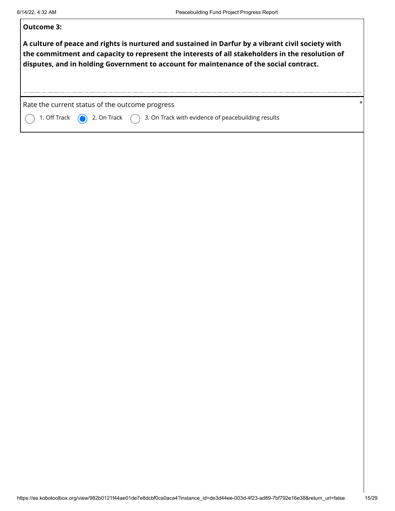| Outcome 3:                                                                                                                                                                                                                                                                                     |          |
|------------------------------------------------------------------------------------------------------------------------------------------------------------------------------------------------------------------------------------------------------------------------------------------------|----------|
| A culture of peace and rights is nurtured and sustained in Darfur by a vibrant civil society with<br>the commitment and capacity to represent the interests of all stakeholders in the resolution of<br>disputes, and in holding Government to account for maintenance of the social contract. |          |
| Rate the current status of the outcome progress                                                                                                                                                                                                                                                | $^\star$ |
| 2. On Track $\bigcap$ 3. On Track with evidence of peacebuilding results<br>1. Off Track                                                                                                                                                                                                       |          |
|                                                                                                                                                                                                                                                                                                |          |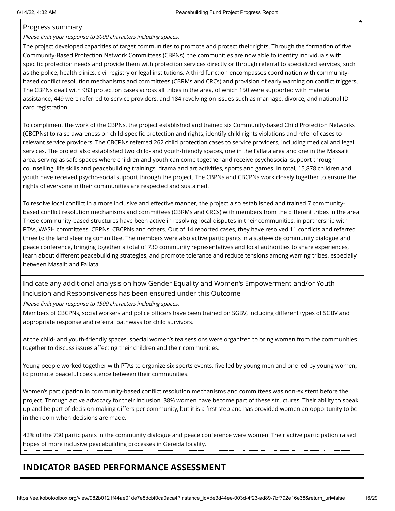#### Progress summary

Please limit your response to 3000 characters including spaces.

The project developed capacities of target communities to promote and protect their rights. Through the formation of five Community-Based Protection Network Committees (CBPNs), the communities are now able to identify individuals with specific protection needs and provide them with protection services directly or through referral to specialized services, such as the police, health clinics, civil registry or legal institutions. A third function encompasses coordination with communitybased conflict resolution mechanisms and committees (CBRMs and CRCs) and provision of early warning on conflict triggers. The CBPNs dealt with 983 protection cases across all tribes in the area, of which 150 were supported with material assistance, 449 were referred to service providers, and 184 revolving on issues such as marriage, divorce, and national ID card registration.

To compliment the work of the CBPNs, the project established and trained six Community-based Child Protection Networks (CBCPNs) to raise awareness on child-specific protection and rights, identify child rights violations and refer of cases to relevant service providers. The CBCPNs referred 262 child protection cases to service providers, including medical and legal services. The project also established two child- and youth-friendly spaces, one in the Fallata area and one in the Massalit area, serving as safe spaces where children and youth can come together and receive psychosocial support through counselling, life skills and peacebuilding trainings, drama and art activities, sports and games. In total, 15,878 children and youth have received psycho-social support through the project. The CBPNs and CBCPNs work closely together to ensure the rights of everyone in their communities are respected and sustained.

To resolve local conflict in a more inclusive and effective manner, the project also established and trained 7 communitybased conflict resolution mechanisms and committees (CBRMs and CRCs) with members from the different tribes in the area. These community-based structures have been active in resolving local disputes in their communities, in partnership with PTAs, WASH committees, CBPNs, CBCPNs and others. Out of 14 reported cases, they have resolved 11 conflicts and referred three to the land steering committee. The members were also active participants in a state-wide community dialogue and peace conference, bringing together a total of 730 community representatives and local authorities to share experiences, learn about different peacebuilding strategies, and promote tolerance and reduce tensions among warring tribes, especially between Masalit and Fallata.

Indicate any additional analysis on how Gender Equality and Women's Empowerment and/or Youth Inclusion and Responsiveness has been ensured under this Outcome

Please limit your response to 1500 characters including spaces.

Members of CBCPNs, social workers and police officers have been trained on SGBV, including different types of SGBV and appropriate response and referral pathways for child survivors.

At the child- and youth-friendly spaces, special women's tea sessions were organized to bring women from the communities together to discuss issues affecting their children and their communities.

Young people worked together with PTAs to organize six sports events, five led by young men and one led by young women, to promote peaceful coexistence between their communities.

Women's participation in community-based conflict resolution mechanisms and committees was non-existent before the project. Through active advocacy for their inclusion, 38% women have become part of these structures. Their ability to speak up and be part of decision-making differs per community, but it is a first step and has provided women an opportunity to be in the room when decisions are made.

42% of the 730 participants in the community dialogue and peace conference were women. Their active participation raised hopes of more inclusive peacebuilding processes in Gereida locality.

# **INDICATOR BASED PERFORMANCE ASSESSMENT**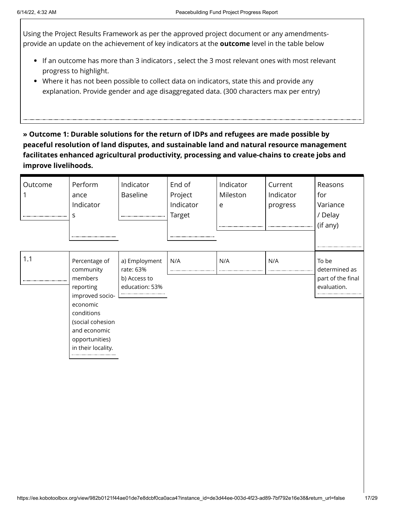Using the Project Results Framework as per the approved project document or any amendmentsprovide an update on the achievement of key indicators at the **outcome** level in the table below

- If an outcome has more than 3 indicators , select the 3 most relevant ones with most relevant progress to highlight.
- Where it has not been possible to collect data on indicators, state this and provide any explanation. Provide gender and age disaggregated data. (300 characters max per entry)

**» Outcome 1: Durable solutions for the return of IDPs and refugees are made possible by peaceful resolution of land disputes, and sustainable land and natural resource management facilitates enhanced agricultural productivity, processing and value-chains to create jobs and improve livelihoods.**

| Outcome | Perform<br>ance<br>Indicator<br>s                                                                                                                                           | Indicator<br><b>Baseline</b>                                 | End of<br>Project<br>Indicator<br>Target<br> | Indicator<br>Mileston<br>e | Current<br>Indicator<br>progress | Reasons<br>for<br>Variance<br>/ Delay<br>(if any)          |
|---------|-----------------------------------------------------------------------------------------------------------------------------------------------------------------------------|--------------------------------------------------------------|----------------------------------------------|----------------------------|----------------------------------|------------------------------------------------------------|
| 1.1     | Percentage of<br>community<br>members<br>reporting<br>improved socio-<br>economic<br>conditions<br>(social cohesion<br>and economic<br>opportunities)<br>in their locality. | a) Employment<br>rate: 63%<br>b) Access to<br>education: 53% | N/A                                          | N/A                        | N/A                              | To be<br>determined as<br>part of the final<br>evaluation. |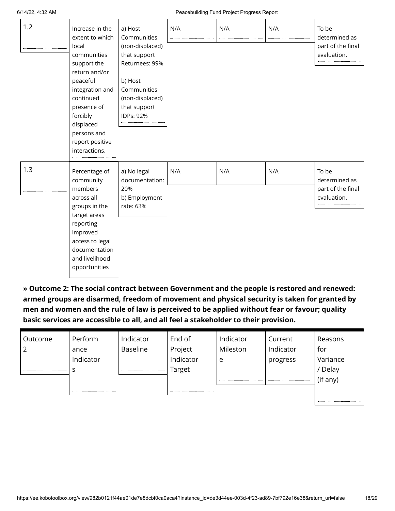| 1.2 | Increase in the<br>extent to which<br>local<br>communities<br>support the<br>return and/or<br>peaceful<br>integration and<br>continued<br>presence of<br>forcibly<br>displaced<br>persons and<br>report positive<br>interactions. | a) Host<br>Communities<br>(non-displaced)<br>that support<br>Returnees: 99%<br>b) Host<br>Communities<br>(non-displaced)<br>that support<br>IDPs: 92% | N/A | N/A | N/A | To be<br>determined as<br>part of the final<br>evaluation. |
|-----|-----------------------------------------------------------------------------------------------------------------------------------------------------------------------------------------------------------------------------------|-------------------------------------------------------------------------------------------------------------------------------------------------------|-----|-----|-----|------------------------------------------------------------|
| 1.3 | Percentage of<br>community<br>members<br>across all<br>groups in the<br>target areas<br>reporting<br>improved<br>access to legal<br>documentation<br>and livelihood<br>opportunities                                              | a) No legal<br>documentation:<br>20%<br>b) Employment<br>rate: 63%                                                                                    | N/A | N/A | N/A | To be<br>determined as<br>part of the final<br>evaluation. |

**» Outcome 2: The social contract between Government and the people is restored and renewed: armed groups are disarmed, freedom of movement and physical security is taken for granted by men and women and the rule of law is perceived to be applied without fear or favour; quality basic services are accessible to all, and all feel a stakeholder to their provision.**

| Outcome | Perform   | Indicator | End of    | Indicator | Current   | Reasons  |
|---------|-----------|-----------|-----------|-----------|-----------|----------|
| ◠       | ance      | Baseline  | Project   | Mileston  | Indicator | for      |
|         | Indicator |           | Indicator | e         | progress  | Variance |
|         |           |           | Target    |           |           | Delay    |
|         |           |           |           |           |           | (if any) |
|         |           |           |           |           |           |          |
|         |           |           |           |           |           |          |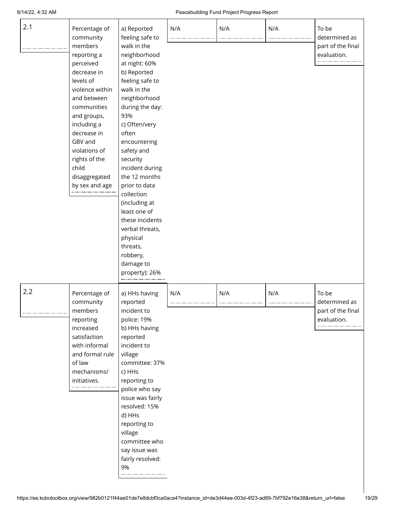#### 6/14/22, 4:32 AM Peacebuilding Fund Project Progress Report

| 2.1 | Percentage of<br>community                                                                                                                                                                                                                             | a) Reported<br>feeling safe to                                                                                                                                                                                                                                                                                                                                                                                           | N/A | N/A | N/A | To be<br>determined as                                     |
|-----|--------------------------------------------------------------------------------------------------------------------------------------------------------------------------------------------------------------------------------------------------------|--------------------------------------------------------------------------------------------------------------------------------------------------------------------------------------------------------------------------------------------------------------------------------------------------------------------------------------------------------------------------------------------------------------------------|-----|-----|-----|------------------------------------------------------------|
|     | members<br>reporting a<br>perceived<br>decrease in<br>levels of<br>violence within<br>and between<br>communities<br>and groups,<br>including a<br>decrease in<br>GBV and<br>violations of<br>rights of the<br>child<br>disaggregated<br>by sex and age | walk in the<br>neighborhood<br>at night: 60%<br>b) Reported<br>feeling safe to<br>walk in the<br>neighborhood<br>during the day:<br>93%<br>c) Often/very<br>often<br>encountering<br>safety and<br>security<br>incident during<br>the 12 months<br>prior to data<br>collection<br>(including at<br>least one of<br>these incidents<br>verbal threats,<br>physical<br>threats,<br>robbery,<br>damage to<br>property): 26% |     |     |     | part of the final<br>evaluation.                           |
| 2.2 | Percentage of<br>community<br>members<br>reporting<br>increased<br>satisfaction<br>with informal<br>and formal rule<br>of law<br>mechanisms/<br>initiatives.                                                                                           | a) HHs having<br>reported<br>incident to<br>police: 19%<br>b) HHs having<br>reported<br>incident to<br>village<br>committee: 37%<br>c) HHs<br>reporting to<br>police who say<br>issue was fairly<br>resolved: 15%<br>d) HHs<br>reporting to<br>village<br>committee who<br>say issue was<br>fairly resolved:<br>9%                                                                                                       | N/A | N/A | N/A | To be<br>determined as<br>part of the final<br>evaluation. |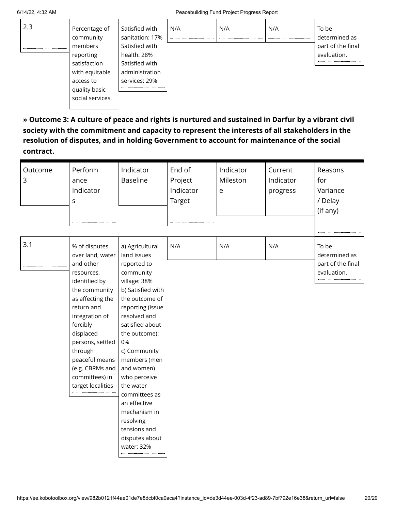| 2.3 | Percentage of    | Satisfied with  | N/A | N/A      | N/A | To be             |
|-----|------------------|-----------------|-----|----------|-----|-------------------|
|     | community        | sanitation: 17% |     | -------- |     | determined as     |
|     | members          | Satisfied with  |     |          |     | part of the final |
|     | reporting        | health: 28%     |     |          |     | evaluation.       |
|     | satisfaction     | Satisfied with  |     |          |     |                   |
|     | with equitable   | administration  |     |          |     |                   |
|     | access to        | services: 29%   |     |          |     |                   |
|     | quality basic    |                 |     |          |     |                   |
|     | social services. |                 |     |          |     |                   |
|     |                  |                 |     |          |     |                   |

**» Outcome 3: A culture of peace and rights is nurtured and sustained in Darfur by a vibrant civil society with the commitment and capacity to represent the interests of all stakeholders in the resolution of disputes, and in holding Government to account for maintenance of the social contract.**

| Outcome<br>3 | Perform<br>ance<br>Indicator<br>S                                                                                                                                                                                                                                                      | Indicator<br><b>Baseline</b>                                                                                                                                                                                                                                                                                                                                                                 | End of<br>Project<br>Indicator<br>Target | Indicator<br>Mileston<br>e | Current<br>Indicator<br>progress | Reasons<br>for<br>Variance<br>/ Delay<br>(if any)          |
|--------------|----------------------------------------------------------------------------------------------------------------------------------------------------------------------------------------------------------------------------------------------------------------------------------------|----------------------------------------------------------------------------------------------------------------------------------------------------------------------------------------------------------------------------------------------------------------------------------------------------------------------------------------------------------------------------------------------|------------------------------------------|----------------------------|----------------------------------|------------------------------------------------------------|
| 3.1          | % of disputes<br>over land, water<br>and other<br>resources,<br>identified by<br>the community<br>as affecting the<br>return and<br>integration of<br>forcibly<br>displaced<br>persons, settled<br>through<br>peaceful means<br>(e.g. CBRMs and<br>committees) in<br>target localities | a) Agricultural<br>land issues<br>reported to<br>community<br>village: 38%<br>b) Satisfied with<br>the outcome of<br>reporting (issue<br>resolved and<br>satisfied about<br>the outcome):<br>0%<br>c) Community<br>members (men<br>and women)<br>who perceive<br>the water<br>committees as<br>an effective<br>mechanism in<br>resolving<br>tensions and<br>disputes about<br>water: 32%<br> | N/A                                      | N/A                        | N/A                              | To be<br>determined as<br>part of the final<br>evaluation. |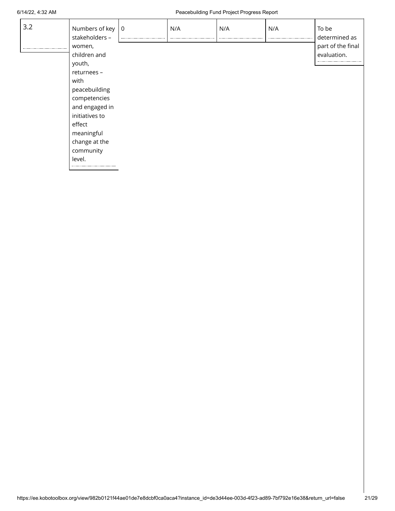#### 6/14/22, 4:32 AM Peacebuilding Fund Project Progress Report

| 3.2 | Numbers of key 0<br>stakeholders - | N/A | N/A | N/A | To be<br>determined as |
|-----|------------------------------------|-----|-----|-----|------------------------|
|     | women,                             |     |     |     | part of the final      |
|     | children and                       |     |     |     | evaluation.            |
|     | youth,                             |     |     |     |                        |
|     | returnees -                        |     |     |     |                        |
|     | with                               |     |     |     |                        |
|     | peacebuilding                      |     |     |     |                        |
|     | competencies                       |     |     |     |                        |
|     | and engaged in                     |     |     |     |                        |
|     | initiatives to                     |     |     |     |                        |
|     | effect                             |     |     |     |                        |
|     | meaningful                         |     |     |     |                        |
|     | change at the                      |     |     |     |                        |
|     | community                          |     |     |     |                        |
|     | level.                             |     |     |     |                        |
|     |                                    |     |     |     |                        |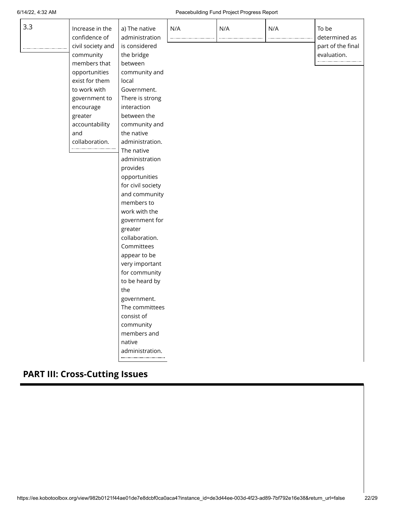#### 6/14/22, 4:32 AM Peacebuilding Fund Project Progress Report

| 3.3 | Increase in the<br>confidence of<br>civil society and<br>community<br>members that | a) The native<br>administration<br>is considered<br>the bridge<br>between | N/A | N/A | N/A | To be<br>determined as<br>part of the final<br>evaluation. |
|-----|------------------------------------------------------------------------------------|---------------------------------------------------------------------------|-----|-----|-----|------------------------------------------------------------|
|     |                                                                                    |                                                                           |     |     |     |                                                            |
|     | opportunities<br>exist for them                                                    | community and<br>local                                                    |     |     |     |                                                            |
|     | to work with                                                                       | Government.                                                               |     |     |     |                                                            |
|     |                                                                                    |                                                                           |     |     |     |                                                            |
|     | government to                                                                      | There is strong<br>interaction                                            |     |     |     |                                                            |
|     | encourage                                                                          |                                                                           |     |     |     |                                                            |
|     | greater                                                                            | between the                                                               |     |     |     |                                                            |
|     | accountability                                                                     | community and                                                             |     |     |     |                                                            |
|     | and                                                                                | the native                                                                |     |     |     |                                                            |
|     | collaboration.                                                                     | administration.                                                           |     |     |     |                                                            |
|     |                                                                                    | The native                                                                |     |     |     |                                                            |
|     |                                                                                    | administration                                                            |     |     |     |                                                            |
|     |                                                                                    | provides                                                                  |     |     |     |                                                            |
|     |                                                                                    | opportunities                                                             |     |     |     |                                                            |
|     |                                                                                    | for civil society                                                         |     |     |     |                                                            |
|     |                                                                                    | and community                                                             |     |     |     |                                                            |
|     |                                                                                    | members to                                                                |     |     |     |                                                            |
|     |                                                                                    | work with the                                                             |     |     |     |                                                            |
|     |                                                                                    | government for                                                            |     |     |     |                                                            |
|     |                                                                                    | greater                                                                   |     |     |     |                                                            |
|     |                                                                                    | collaboration.                                                            |     |     |     |                                                            |
|     |                                                                                    | Committees                                                                |     |     |     |                                                            |
|     |                                                                                    | appear to be                                                              |     |     |     |                                                            |
|     |                                                                                    | very important                                                            |     |     |     |                                                            |
|     |                                                                                    | for community                                                             |     |     |     |                                                            |
|     |                                                                                    | to be heard by                                                            |     |     |     |                                                            |
|     |                                                                                    | the                                                                       |     |     |     |                                                            |
|     |                                                                                    | government.                                                               |     |     |     |                                                            |
|     |                                                                                    | The committees                                                            |     |     |     |                                                            |
|     |                                                                                    | consist of                                                                |     |     |     |                                                            |
|     |                                                                                    | community                                                                 |     |     |     |                                                            |
|     |                                                                                    | members and                                                               |     |     |     |                                                            |
|     |                                                                                    | native                                                                    |     |     |     |                                                            |
|     |                                                                                    | administration.                                                           |     |     |     |                                                            |
|     |                                                                                    |                                                                           |     |     |     |                                                            |

# **PART III: Cross-Cutting Issues**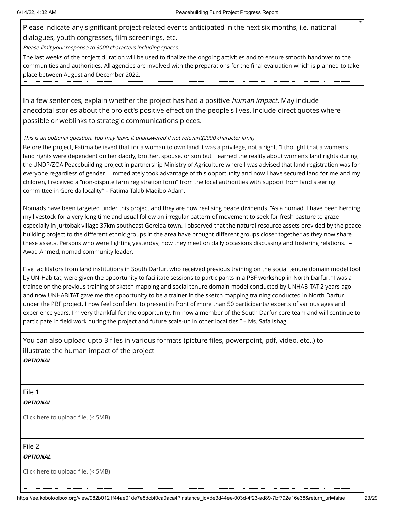Please indicate any significant project-related events anticipated in the next six months, i.e. national dialogues, youth congresses, film screenings, etc.

Please limit your response to 3000 characters including spaces.

The last weeks of the project duration will be used to finalize the ongoing activities and to ensure smooth handover to the communities and authorities. All agencies are involved with the preparations for the final evaluation which is planned to take place between August and December 2022.

In a few sentences, explain whether the project has had a positive *human impact*. May include anecdotal stories about the project's positive effect on the people's lives. Include direct quotes where possible or weblinks to strategic communications pieces.

#### This is an optional question. You may leave it unanswered if not relevant(2000 character limit)

Before the project, Fatima believed that for a woman to own land it was a privilege, not a right. "I thought that a women's land rights were dependent on her daddy, brother, spouse, or son but i learned the reality about women's land rights during the UNDP/ZOA Peacebuilding project in partnership Ministry of Agriculture where I was advised that land registration was for everyone regardless of gender. I immediately took advantage of this opportunity and now I have secured land for me and my children, I received a "non-dispute farm registration form" from the local authorities with support from land steering committee in Gereida locality" – Fatima Talab Madibo Adam.

Nomads have been targeted under this project and they are now realising peace dividends. "As a nomad, I have been herding my livestock for a very long time and usual follow an irregular pattern of movement to seek for fresh pasture to graze especially in Jurtobak village 37km southeast Gereida town. I observed that the natural resource assets provided by the peace building project to the different ethnic groups in the area have brought different groups closer together as they now share these assets. Persons who were fighting yesterday, now they meet on daily occasions discussing and fostering relations." – Awad Ahmed, nomad community leader.

Five facilitators from land institutions in South Darfur, who received previous training on the social tenure domain model tool by UN-Habitat, were given the opportunity to facilitate sessions to participants in a PBF workshop in North Darfur. "I was a trainee on the previous training of sketch mapping and social tenure domain model conducted by UNHABITAT 2 years ago and now UNHABITAT gave me the opportunity to be a trainer in the sketch mapping training conducted in North Darfur under the PBF project. I now feel confident to present in front of more than 50 participants/ experts of various ages and experience years. I'm very thankful for the opportunity. I'm now a member of the South Darfur core team and will continue to participate in field work during the project and future scale-up in other localities." – Ms. Safa Ishag.

You can also upload upto 3 files in various formats (picture files, powerpoint, pdf, video, etc..) to illustrate the human impact of the project **OPTIONAL**

File 1

#### **OPTIONAL**

Click here to upload file. (< 5MB)

File 2

**OPTIONAL**

Click here to upload file. (< 5MB)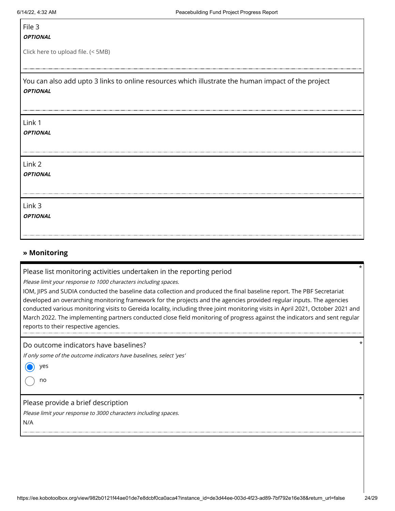## File 3

#### **OPTIONAL**

Click here to upload file. (< 5MB)

You can also add upto 3 links to online resources which illustrate the human impact of the project **OPTIONAL**

#### Link 1

**OPTIONAL**

Link 2

**OPTIONAL**

Link 3

**OPTIONAL**

#### **» Monitoring**

Please list monitoring activities undertaken in the reporting period

Please limit your response to 1000 characters including spaces.

IOM, JIPS and SUDIA conducted the baseline data collection and produced the final baseline report. The PBF Secretariat developed an overarching monitoring framework for the projects and the agencies provided regular inputs. The agencies conducted various monitoring visits to Gereida locality, including three joint monitoring visits in April 2021, October 2021 and March 2022. The implementing partners conducted close field monitoring of progress against the indicators and sent regular reports to their respective agencies.

Do outcome indicators have baselines?

If only some of the outcome indicators have baselines, select 'yes'

yes

no

Please provide a brief description

Please limit your response to 3000 characters including spaces.

N/A

\*

\*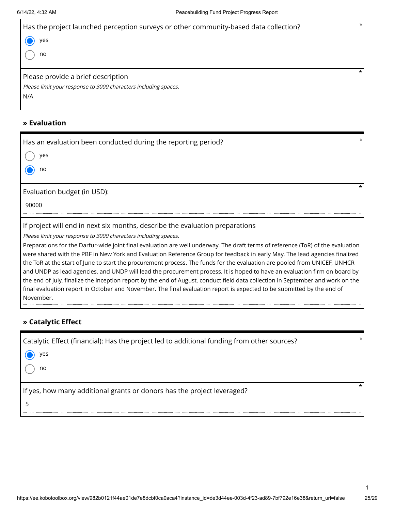| Has the project launched perception surveys or other community-based data collection? | $\star$ |
|---------------------------------------------------------------------------------------|---------|
| yes                                                                                   |         |
| no                                                                                    |         |
| Please provide a brief description                                                    | $\star$ |
| Please limit your response to 3000 characters including spaces.                       |         |
| N/A                                                                                   |         |

#### **» Evaluation**

| Has an evaluation been conducted during the reporting period?<br>yes<br>no                                                                                                                                                                                                                                                                                                                                                                                                                                                                                                                                                                                                 | $\star$ |
|----------------------------------------------------------------------------------------------------------------------------------------------------------------------------------------------------------------------------------------------------------------------------------------------------------------------------------------------------------------------------------------------------------------------------------------------------------------------------------------------------------------------------------------------------------------------------------------------------------------------------------------------------------------------------|---------|
| Evaluation budget (in USD):<br>90000                                                                                                                                                                                                                                                                                                                                                                                                                                                                                                                                                                                                                                       |         |
| If project will end in next six months, describe the evaluation preparations<br>Please limit your response to 3000 characters including spaces.<br>Preparations for the Darfur-wide joint final evaluation are well underway. The draft terms of reference (ToR) of the evaluation<br>were shared with the PBF in New York and Evaluation Reference Group for feedback in early May. The lead agencies finalized<br>the ToR at the start of June to start the procurement process. The funds for the evaluation are pooled from UNICEF, UNHCR<br>and UNDP as lead agencies, and UNDP will lead the procurement process. It is hoped to have an evaluation firm on board by |         |

the end of July, finalize the inception report by the end of August, conduct field data collection in September and work on the final evaluation report in October and November. The final evaluation report is expected to be submitted by the end of November.

### **» Catalytic Effect**

| Catalytic Effect (financial): Has the project led to additional funding from other sources? | $\star$ |
|---------------------------------------------------------------------------------------------|---------|
| yes                                                                                         |         |
| no                                                                                          |         |
| If yes, how many additional grants or donors has the project leveraged?                     | $\star$ |
|                                                                                             |         |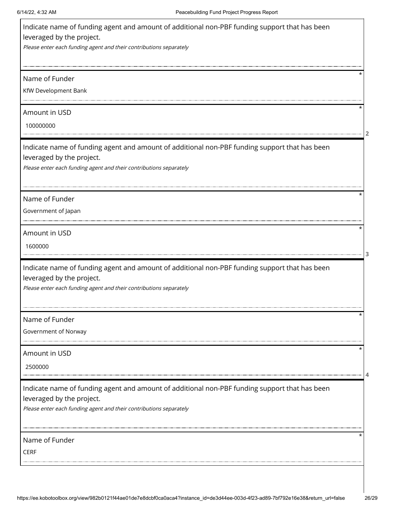| Indicate name of funding agent and amount of additional non-PBF funding support that has been<br>leveraged by the project.<br>Please enter each funding agent and their contributions separately |  |
|--------------------------------------------------------------------------------------------------------------------------------------------------------------------------------------------------|--|
| Name of Funder<br>KfW Development Bank                                                                                                                                                           |  |
| Amount in USD<br>100000000                                                                                                                                                                       |  |
| Indicate name of funding agent and amount of additional non-PBF funding support that has been<br>leveraged by the project.<br>Please enter each funding agent and their contributions separately |  |
| Name of Funder<br>Government of Japan                                                                                                                                                            |  |
| Amount in USD<br>1600000                                                                                                                                                                         |  |
| Indicate name of funding agent and amount of additional non-PBF funding support that has been<br>leveraged by the project.<br>Please enter each funding agent and their contributions separately |  |
| Name of Funder<br>Government of Norway                                                                                                                                                           |  |
| Amount in USD<br>2500000                                                                                                                                                                         |  |
| Indicate name of funding agent and amount of additional non-PBF funding support that has been<br>leveraged by the project.<br>Please enter each funding agent and their contributions separately |  |
| Name of Funder<br><b>CERF</b>                                                                                                                                                                    |  |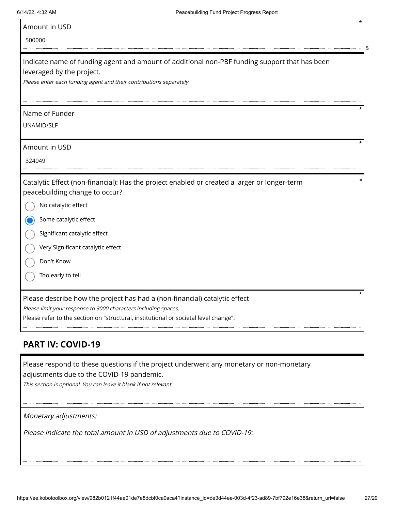| Amount in USD |  |
|---------------|--|
|               |  |

#### 500000

| Indicate name of funding agent and amount of additional non-PBF funding support that has been<br>leveraged by the project.<br>Please enter each funding agent and their contributions separately |
|--------------------------------------------------------------------------------------------------------------------------------------------------------------------------------------------------|
| Name of Funder<br>UNAMID/SLF                                                                                                                                                                     |
| Amount in USD<br>324049                                                                                                                                                                          |
| Catalytic Effect (non-financial): Has the project enabled or created a larger or longer-term<br>peacebuilding change to occur?<br>No catalytic effect                                            |
| Some catalytic effect                                                                                                                                                                            |
| Significant catalytic effect                                                                                                                                                                     |
| Very Significant catalytic effect                                                                                                                                                                |
| Don't Know                                                                                                                                                                                       |

Too early to tell

Please describe how the project has had a (non-financial) catalytic effect

Please limit your response to 3000 characters including spaces.

Please refer to the section on "structural, institutional or societal level change".

# **PART IV: COVID-19**

Please respond to these questions if the project underwent any monetary or non-monetary adjustments due to the COVID-19 pandemic.

This section is optional. You can leave it blank if not relevant

Monetary adjustments:

Please indicate the total amount in USD of adjustments due to COVID-19:

\*

**5**

\*

\*

\*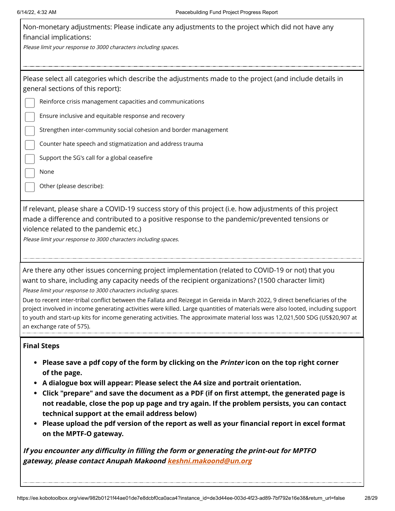| 6/14/22, 4:32 AM                                                                                          | Peacebuilding Fund Project Progress Report                                                                                                                                                                                                                                                                                                                                                                                                                                                                                                                                                                  |
|-----------------------------------------------------------------------------------------------------------|-------------------------------------------------------------------------------------------------------------------------------------------------------------------------------------------------------------------------------------------------------------------------------------------------------------------------------------------------------------------------------------------------------------------------------------------------------------------------------------------------------------------------------------------------------------------------------------------------------------|
| financial implications:<br>Please limit your response to 3000 characters including spaces.                | Non-monetary adjustments: Please indicate any adjustments to the project which did not have any                                                                                                                                                                                                                                                                                                                                                                                                                                                                                                             |
| general sections of this report):                                                                         | Please select all categories which describe the adjustments made to the project (and include details in                                                                                                                                                                                                                                                                                                                                                                                                                                                                                                     |
|                                                                                                           | Reinforce crisis management capacities and communications<br>Ensure inclusive and equitable response and recovery                                                                                                                                                                                                                                                                                                                                                                                                                                                                                           |
|                                                                                                           | Strengthen inter-community social cohesion and border management                                                                                                                                                                                                                                                                                                                                                                                                                                                                                                                                            |
|                                                                                                           | Counter hate speech and stigmatization and address trauma                                                                                                                                                                                                                                                                                                                                                                                                                                                                                                                                                   |
| Support the SG's call for a global ceasefire                                                              |                                                                                                                                                                                                                                                                                                                                                                                                                                                                                                                                                                                                             |
| None                                                                                                      |                                                                                                                                                                                                                                                                                                                                                                                                                                                                                                                                                                                                             |
| Other (please describe):                                                                                  |                                                                                                                                                                                                                                                                                                                                                                                                                                                                                                                                                                                                             |
| violence related to the pandemic etc.)<br>Please limit your response to 3000 characters including spaces. | If relevant, please share a COVID-19 success story of this project (i.e. how adjustments of this project<br>made a difference and contributed to a positive response to the pandemic/prevented tensions or                                                                                                                                                                                                                                                                                                                                                                                                  |
| Please limit your response to 3000 characters including spaces.<br>an exchange rate of 575).              | Are there any other issues concerning project implementation (related to COVID-19 or not) that you<br>want to share, including any capacity needs of the recipient organizations? (1500 character limit)<br>Due to recent inter-tribal conflict between the Fallata and Reizegat in Gereida in March 2022, 9 direct beneficiaries of the<br>project involved in income generating activities were killed. Large quantities of materials were also looted, including support<br>to youth and start-up kits for income generating activities. The approximate material loss was 12,021,500 SDG (US\$20,907 at |
| <b>Final Steps</b><br>of the page.                                                                        | Please save a pdf copy of the form by clicking on the <i>Printer</i> icon on the top right corner                                                                                                                                                                                                                                                                                                                                                                                                                                                                                                           |

- **A dialogue box will appear: Please select the A4 size and portrait orientation.**
- **Click "prepare" and save the document as a PDF (if on first attempt, the generated page is not readable, close the pop up page and try again. If the problem persists, you can contact technical support at the email address below)**
- **Please upload the pdf version of the report as well as your financial report in excel format on the MPTF-O gateway.**

**If you encounter any difficulty in filling the form or generating the print-out for MPTFO gateway, please contact Anupah Makoond [keshni.makoond@un.org](https://ee.kobotoolbox.org/view/keshni.makoond@un.org)**